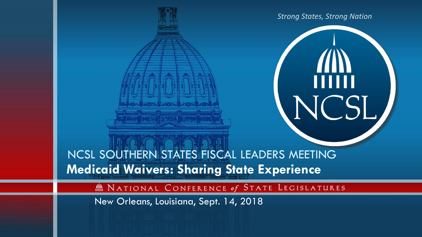

mm

NCSL SOUTHERN STATES FISCAL LEADERS MEETING **Medicaid Waivers: Sharing State Experience**

M NATIONAL CONFERENCE of STATE LEGISLATURES

New Orleans, Louisiana, Sept. 14, 2018

大学 下学 ガイドき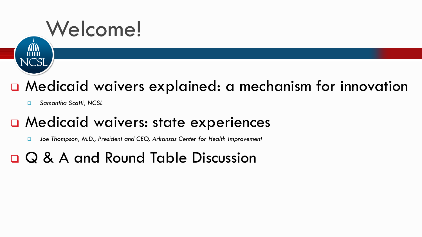

#### ■ Medicaid waivers explained: a mechanism for innovation

*Samantha Scotti, NCSL*

#### **D** Medicaid waivers: state experiences

*Joe Thompson, M.D., President and CEO, Arkansas Center for Health Improvement* 

#### Q & A and Round Table Discussion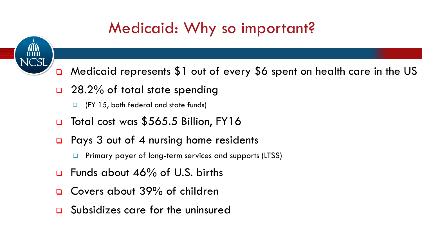

### Medicaid: Why so important?

- □ Medicaid represents \$1 out of every \$6 spent on health care in the US
- □ 28.2% of total state spending
	- (FY 15, both federal and state funds)
- □ Total cost was \$565.5 Billion, FY16
- Pays 3 out of 4 nursing home residents
	- Primary payer of long-term services and supports (LTSS)
- Funds about 46% of U.S. births
- Covers about 39% of children
- Subsidizes care for the uninsured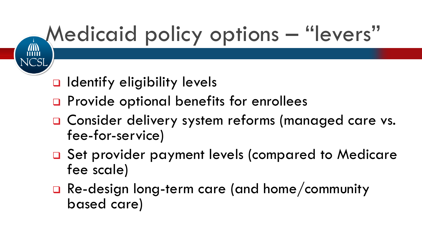# Medicaid policy options – "levers"

- D Identify eligibility levels
- □ Provide optional benefits for enrollees
- □ Consider delivery system reforms (managed care vs. fee-for-service)
- □ Set provider payment levels (compared to Medicare fee scale)
- Re-design long-term care (and home/community based care)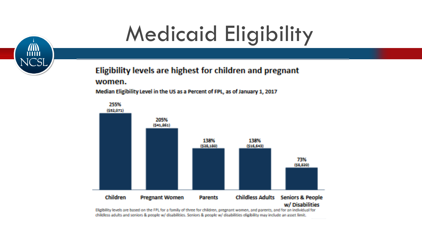# **AD**

## **Medicaid Eligibility**

#### Eligibility levels are highest for children and pregnant

#### women.

Median Eligibility Level in the US as a Percent of FPL, as of January 1, 2017



Eligibility levels are based on the FPL for a family of three for children, pregnant women, and parents, and for an individual for childless adults and seniors & people w/ disabilities. Seniors & people w/ disabilities eligibility may include an asset limit.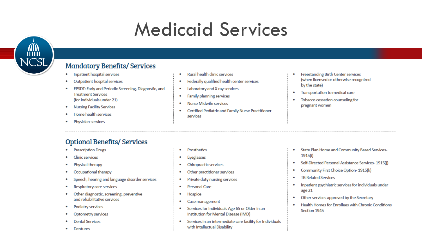### **Medicaid Services**



#### **Mandatory Benefits/Services**

- Inpatient hospital services  $\bullet$
- Outpatient hospital services  $\bullet$
- EPSDT: Early and Periodic Screening, Diagnostic, and **Treatment Services** (for individuals under 21)
- **Nursing Facility Services**  $\bullet$
- Home health services
- Physician services  $\bullet$
- **Rural health clinic services**
- Federally qualified health center services
- Laboratory and X-ray services
- Family planning services
- Nurse Midwife services
- Certified Pediatric and Family Nurse Practitioner  $\bullet$ services
- **Freestanding Birth Center services** (when licensed or otherwise recognized by the state)
- Transportation to medical care  $\bullet$
- Tobacco cessation counseling for  $\bullet$ pregnant women

- **Optional Benefits/ Services**
- **Prescription Drugs**  $\bullet$
- Clinic services
- Physical therapy  $\bullet$
- Occupational therapy  $\bullet$
- Speech, hearing and language disorder services  $\bullet$
- Respiratory care services
- Other diagnostic, screening, preventive  $\bullet$ and rehabilitative services
- Podiatry services  $\bullet$
- Optometry services
- **Dental Services**
- Dentures
- Prosthetics
- Eyeglasses  $\bullet$
- Chiropractic services
- Other practitioner services
- Private duty nursing services
- Personal Care
- Hospice
- Case management
- Services for Individuals Age 65 or Older in an  $\bullet$ Institution for Mental Disease (IMD)
- Services in an intermediate care facility for Individuals  $\bullet$ with Intellectual Disability
- State Plan Home and Community Based Services-۰  $1915(i)$
- Self-Directed Personal Assistance Services- 1915(j)
- Community First Choice Option-1915(k) ۰
- **TB Related Services**  $\bullet$
- Inpatient psychiatric services for individuals under  $\bullet$ age 21
- Other services approved by the Secretary
- Health Homes for Enrollees with Chronic Conditions- $\bullet$ Section 1945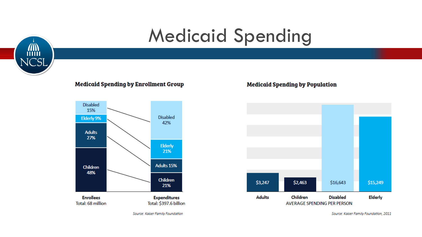

### **Medicaid Spending**

#### **Medicaid Spending by Enrollment Group**



Source: Kaiser Family Foundation

#### **Medicaid Spending by Population**



Source: Kaiser Family Foundation, 2011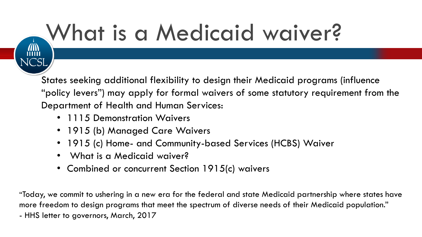# What is a Medicaid waiver?

States seeking additional flexibility to design their Medicaid programs (influence "policy levers") may apply for formal waivers of some statutory requirement from the Department of Health and Human Services:

- 1115 Demonstration Waivers
- 1915 (b) Managed Care Waivers
- 1915 (c) Home- and Community-based Services (HCBS) Waiver
- What is a Medicaid waiver?
- Combined or concurrent Section 1915(c) waivers

"Today, we commit to ushering in a new era for the federal and state Medicaid partnership where states have more freedom to design programs that meet the spectrum of diverse needs of their Medicaid population." - HHS letter to governors, March, 2017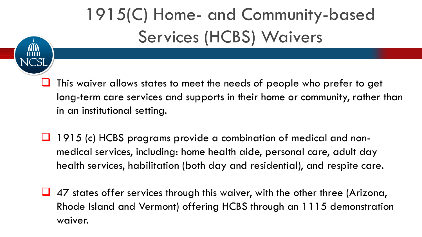### 1915(C) Home- and Community-based Services (HCBS) Waivers

- This waiver allows states to meet the needs of people who prefer to get long-term care services and supports in their home or community, rather than in an institutional setting.
- 1915 (c) HCBS programs provide a combination of medical and nonmedical services, including: home health aide, personal care, adult day health services, habilitation (both day and residential), and respite care.
- $\Box$  47 states offer services through this waiver, with the other three (Arizona, Rhode Island and Vermont) offering HCBS through an 1115 demonstration waiver.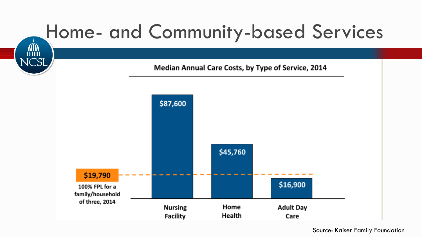

Source: Kaiser Family Foundation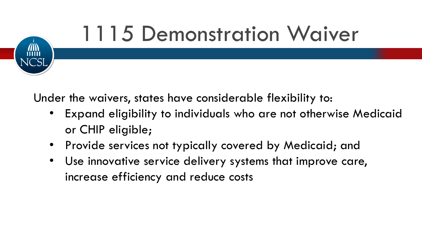

Under the waivers, states have considerable flexibility to:

- Expand eligibility to individuals who are not otherwise Medicaid or CHIP eligible;
- Provide services not typically covered by Medicaid; and
- Use innovative service delivery systems that improve care, increase efficiency and reduce costs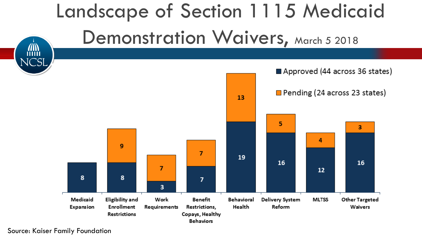

Source: Kaiser Family Foundation